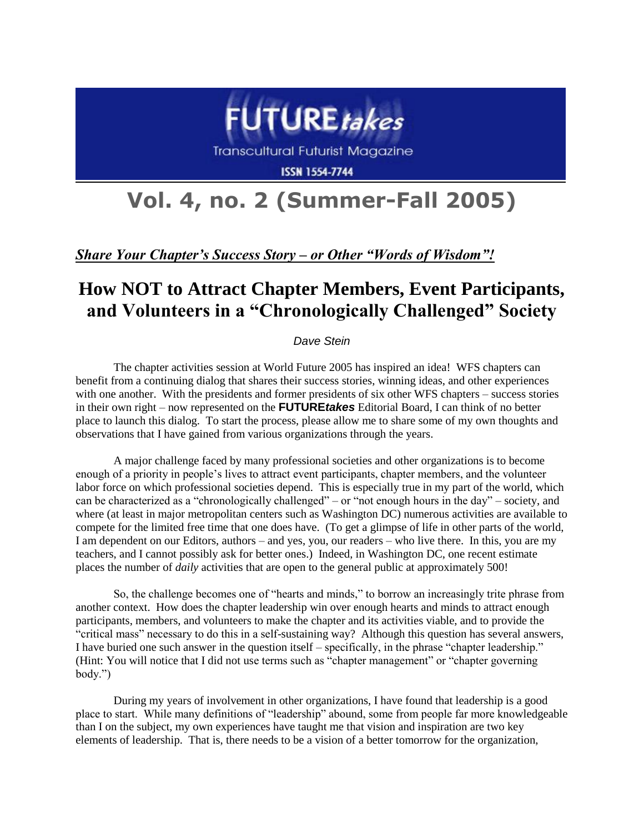

**Transcultural Futurist Magazine** 

**ISSN 1554-7744** 

## **Vol. 4, no. 2 (Summer-Fall 2005)**

*Share Your Chapter's Success Story – or Other "Words of Wisdom"!*

## **How NOT to Attract Chapter Members, Event Participants, and Volunteers in a "Chronologically Challenged" Society**

*Dave Stein*

The chapter activities session at World Future 2005 has inspired an idea! WFS chapters can benefit from a continuing dialog that shares their success stories, winning ideas, and other experiences with one another. With the presidents and former presidents of six other WFS chapters – success stories in their own right – now represented on the **FUTURE***takes* Editorial Board, I can think of no better place to launch this dialog. To start the process, please allow me to share some of my own thoughts and observations that I have gained from various organizations through the years.

A major challenge faced by many professional societies and other organizations is to become enough of a priority in people's lives to attract event participants, chapter members, and the volunteer labor force on which professional societies depend. This is especially true in my part of the world, which can be characterized as a "chronologically challenged" – or "not enough hours in the day" – society, and where (at least in major metropolitan centers such as Washington DC) numerous activities are available to compete for the limited free time that one does have. (To get a glimpse of life in other parts of the world, I am dependent on our Editors, authors – and yes, you, our readers – who live there. In this, you are my teachers, and I cannot possibly ask for better ones.) Indeed, in Washington DC, one recent estimate places the number of *daily* activities that are open to the general public at approximately 500!

So, the challenge becomes one of "hearts and minds," to borrow an increasingly trite phrase from another context. How does the chapter leadership win over enough hearts and minds to attract enough participants, members, and volunteers to make the chapter and its activities viable, and to provide the "critical mass" necessary to do this in a self-sustaining way? Although this question has several answers, I have buried one such answer in the question itself – specifically, in the phrase "chapter leadership." (Hint: You will notice that I did not use terms such as "chapter management" or "chapter governing body.")

During my years of involvement in other organizations, I have found that leadership is a good place to start. While many definitions of "leadership" abound, some from people far more knowledgeable than I on the subject, my own experiences have taught me that vision and inspiration are two key elements of leadership. That is, there needs to be a vision of a better tomorrow for the organization,